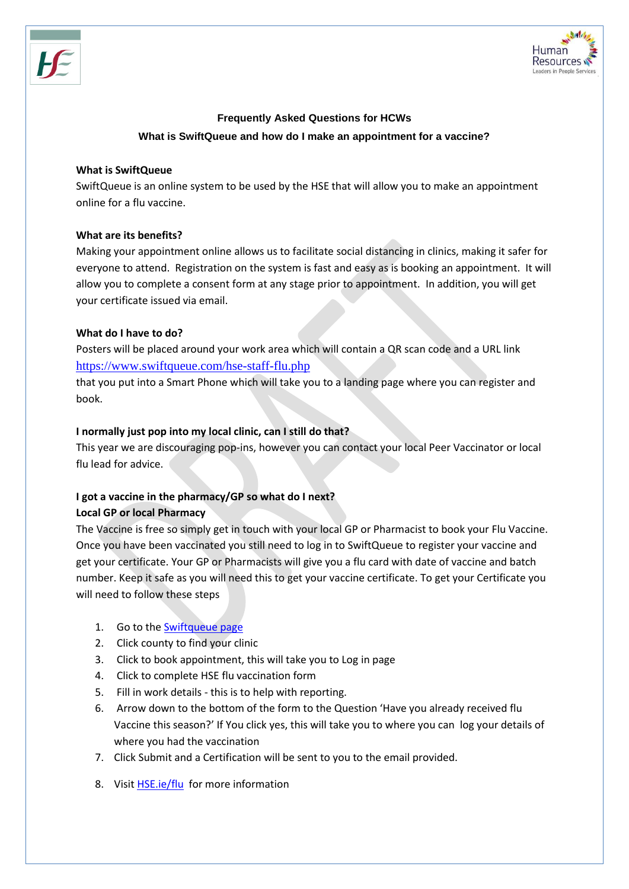

# **Frequently Asked Questions for HCWs What is SwiftQueue and how do I make an appointment for a vaccine?**

#### **What is SwiftQueue**

SwiftQueue is an online system to be used by the HSE that will allow you to make an appointment online for a flu vaccine.

# **What are its benefits?**

Making your appointment online allows us to facilitate social distancing in clinics, making it safer for everyone to attend. Registration on the system is fast and easy as is booking an appointment. It will allow you to complete a consent form at any stage prior to appointment. In addition, you will get your certificate issued via email.

## **What do I have to do?**

Posters will be placed around your work area which will contain a QR scan code and a URL link [https://www.swiftqueue.com/hse-staff-flu.php](https://scanner.topsec.com/?t=dff9ef1343d74783302e0590889a9565d97b955f&d=76&u=https%3A%2F%2Fwww.swiftqueue.com%2Fhse-staff-flu.php)

that you put into a Smart Phone which will take you to a landing page where you can register and book.

## **I normally just pop into my local clinic, can I still do that?**

This year we are discouraging pop-ins, however you can contact your local Peer Vaccinator or local flu lead for advice.

# **I got a vaccine in the pharmacy/GP so what do I next?**

#### **Local GP or local Pharmacy**

The Vaccine is free so simply get in touch with your local GP or Pharmacist to book your Flu Vaccine. Once you have been vaccinated you still need to log in to SwiftQueue to register your vaccine and get your certificate. Your GP or Pharmacists will give you a flu card with date of vaccine and batch number. Keep it safe as you will need this to get your vaccine certificate. To get your Certificate you will need to follow these steps

- 1. Go to the [Swiftqueue page](http://www.swiftqueue.com/hse-staff-flu.php)
- 2. Click county to find your clinic
- 3. Click to book appointment, this will take you to Log in page
- 4. Click to complete HSE flu vaccination form
- 5. Fill in work details this is to help with reporting.
- 6. Arrow down to the bottom of the form to the Question 'Have you already received flu Vaccine this season?' If You click yes, this will take you to where you can log your details of where you had the vaccination
- 7. Click Submit and a Certification will be sent to you to the email provided.
- 8. Visit **[HSE.ie/flu](https://www.hse.ie/flu)** for more information